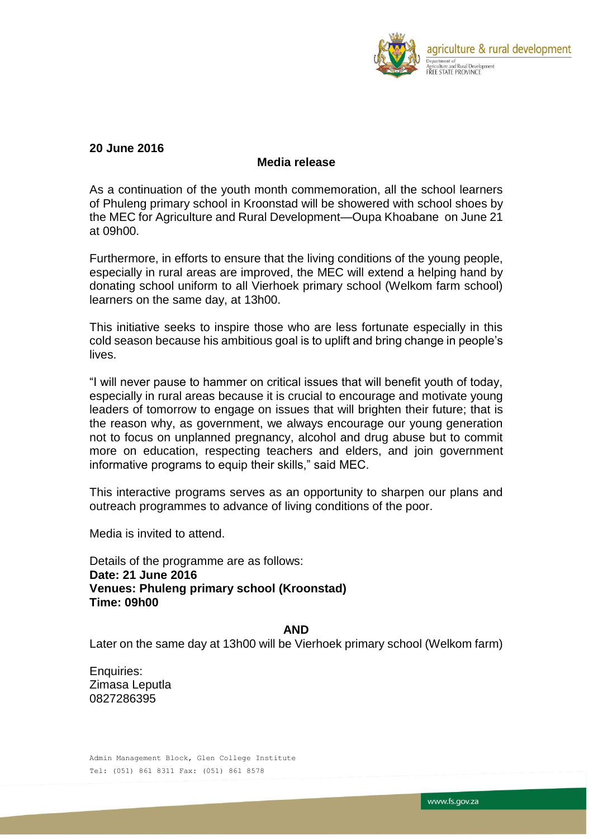

## **20 June 2016**

## **Media release**

As a continuation of the youth month commemoration, all the school learners of Phuleng primary school in Kroonstad will be showered with school shoes by the MEC for Agriculture and Rural Development—Oupa Khoabane on June 21 at 09h00.

Furthermore, in efforts to ensure that the living conditions of the young people, especially in rural areas are improved, the MEC will extend a helping hand by donating school uniform to all Vierhoek primary school (Welkom farm school) learners on the same day, at 13h00.

This initiative seeks to inspire those who are less fortunate especially in this cold season because his ambitious goal is to uplift and bring change in people's lives.

"I will never pause to hammer on critical issues that will benefit youth of today, especially in rural areas because it is crucial to encourage and motivate young leaders of tomorrow to engage on issues that will brighten their future; that is the reason why, as government, we always encourage our young generation not to focus on unplanned pregnancy, alcohol and drug abuse but to commit more on education, respecting teachers and elders, and join government informative programs to equip their skills," said MEC.

This interactive programs serves as an opportunity to sharpen our plans and outreach programmes to advance of living conditions of the poor.

Media is invited to attend.

Details of the programme are as follows: **Date: 21 June 2016 Venues: Phuleng primary school (Kroonstad) Time: 09h00**

## **AND**

Later on the same day at 13h00 will be Vierhoek primary school (Welkom farm)

Enquiries: Zimasa Leputla 0827286395